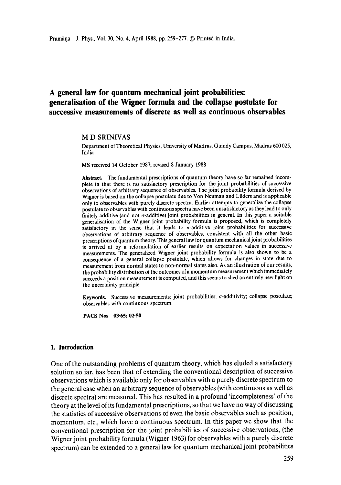# **A general law for quantum mechanical joint probabilities: generalisation of the Wigner formula and the collapse postulate for successive measurements of discrete as well as continuous observables**

#### **M D** SRINIVAS

Department of Theoretical Physics, University of Madras, Guindy Campus, Madras 600 025, India

MS received 14 October 1987; revised 8 January 1988

**Abstract.** The fundamental prescriptions of quantum theory have so far remained incomplete in that there is no satisfactory prescription for the joint probabilities of successive observations of arbitrary sequence of observables. The joint probability formula derived by Wigner is based on the collapse postulate due to Von Neuman and Liiders and is applicable only to observables with purely discrete spectra. Earlier attempts to generalize the collapse postulate to observables with continuous spectra have been unsatisfactory as they lead to only finitely additive (and not  $\sigma$ -additive) joint probabilities in general. In this paper a suitable generalisation of the Wigner joint probability formula is proposed, which is completely satisfactory in the sense that it leads to  $\sigma$ -additive joint probabilities for successive observations of arbitrary sequence of observables, consistent with all the other basic prescriptions of quantum theory. This general law for quantum mechanical joint probabilities is arrived at by a reformulation of earlier results on expectation values in successive measurements. The generalized Wigner joint probability formula is also shown to be a consequence of a general collapse postulate, which allows for changes in state due to measurement from normal states to non-normal states also. As an illustration of our results, the probability distribution of the outcomes of a momentum measurement which immediately succeeds a position measurement is computed, and this seems to shed an entirely new light on the uncertainty principle.

Keywords. Successive measurements; joint probabilities;  $\sigma$ -additivity; collapse postulate; observables with continuous spectrum.

**PACS Nos 03.65; 02.50** 

# **1. Introduction**

One of the outstanding problems of quantum theory, which has eluded a satisfactory solution so far, has been that of extending the conventional description of successive observations which is available only for observables with a purely discrete spectrum to the general case when an arbitrary sequence of observables (with continuous as well as discrete spectra) are measured. This has resulted in a profound 'incompleteness' of the theory at the level of its fundamental prescriptions, so that we have no way of discussing the statistics of successive observations of even the basic observables such as position, momentum, etc., which have a continuous spectrum. In this paper we show that the conventional prescription for the joint probabilities of successive observations, (the Wigner joint probability formula (Wigner 1963) for observables with a purely discrete spectrum) can be extended to a general law for quantum mechanical joint probabilities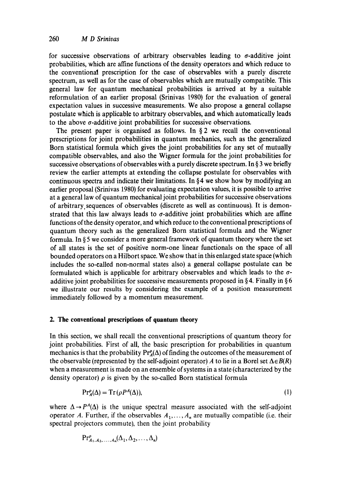for successive observations of arbitrary observables leading to  $\sigma$ -additive joint probabilities, which are affine functions of the density operators and which reduce to the conventional prescription for the case of observables with a purely discrete spectrum, as well as for the case of observables which are mutually compatible. This general law for quantum mechanical probabilities is arrived at by a suitable reformulation of an earlier proposal (Srinivas 1980) for the evaluation of general expectation values in successive measurements. We also propose a general collapse postulate which is applicable to arbitrary observables, and which automatically leads to the above  $\sigma$ -additive joint probabilities for successive observations.

The present paper is organised as follows. In  $\S$  2 we recall the conventional prescriptions for joint probabilities in quantum mechanics, such as the generalized Born statistical formula which gives the joint probabilities for any set of mutually compatible observables, and also the Wigner formula for the joint probabilities for successive observations of observables with a purely discrete spectrum. In § 3 we briefly review the earlier attempts at extending the collapse postulate for observables with continuous spectra and indicate their limitations. In  $64$  we show how by modifying an earlier proposal (Srinivas 1980) for evaluating expectation values, it is possible to arrive at a general law of quantum mechanical joint probabilities for successive observations of arbitrary, sequences of observables (discrete as well as continuous). It is demonstrated that this law always leads to  $\sigma$ -additive joint probabilities which are affine functions of the density operator, and which reduce to the conventional prescriptions of quantum theory such as the generalized Born statistical formula and the Wigner formula. In § 5 we consider a more general framework of quantum theory where the set of all states is the set of positive norm-one linear functionals on the space of all bounded operators on a Hilbort space. We show that in this enlarged state space (which includes the so-called non-normal states also) a general collapse postulate can be formulated which is applicable for arbitrary observables and which leads to the  $\sigma$ additive joint probabilities for successive measurements proposed in §4. Finally in §6 we illustrate our results by considering the example of a position measurement immediately followed by a momentum measurement.

# **2. The conventional prescriptions of quantum theory**

In this section, we shall recall the conventional prescriptions of quantum theory for joint probabilities. First of all, the basic prescription for probabilities in quantum mechanics is that the probability  $Pr_{A}^{\rho}(\Delta)$  of finding the outcomes of the measurement of the observable (represented by the self-adjoint operator) A to lie in a Borel set  $\Delta \in B(R)$ when a measurement is made on an ensemble of systems in a state (characterized by the density operator)  $\rho$  is given by the so-called Born statistical formula

$$
\Pr_A^{\rho}(\Delta) = \operatorname{Tr}\left(\rho P^A(\Delta)\right),\tag{1}
$$

where  $\Delta \rightarrow P^A(\Delta)$  is the unique spectral measure associated with the self-adjoint operator A. Further, if the observables  $A_1, \ldots, A_n$  are mutually compatible (i.e. their spectral projectors commute), then the joint probability

$$
\mathrm{Pr}^{\rho}_{A_1,A_2,\ldots,A_n}(\Delta_1,\Delta_2,\ldots,\Delta_n)
$$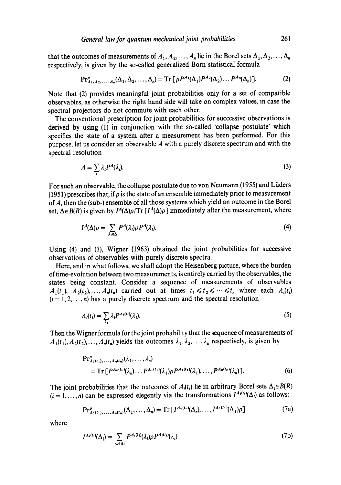that the outcomes of measurements of  $A_1, A_2, \ldots, A_n$  lie in the Borel sets  $\Delta_1, \Delta_2, \ldots, \Delta_n$ respectively, is given by the so-called generalized Born statistical formula

$$
\Pr_{A_1, A_2, \dots, A_n}^{\rho}(\Delta_1, \Delta_2, \dots, \Delta_n) = \operatorname{Tr} \left[ \rho P^{A_1}(\Delta_1) P^{A_2}(\Delta_2) \dots P^{A_n}(\Delta_n) \right]. \tag{2}
$$

Note that (2) provides meaningful joint probabilities only for a set of compatible observables, as otherwise the right hand side will take on complex values, in case the spectral projectors do not commute with each other.

The conventional prescription for joint probabilities for successive observations is derived by using (1) in conjunction with the so-called 'collapse postulate' which specifies the state of a system after a measurement has been performed. For this purpose, let us consider an observable A with a purely discrete spectrum and with the spectral resolution

$$
A = \sum_{i} \lambda_i P^A(\lambda_i). \tag{3}
$$

For such an observable, the collapse postulate due to von Neumann (1955) and Liiders (1951) prescribes that, if  $\rho$  is the state of an ensemble immediately prior to measurement of A, then the (sub-) ensemble of all those systems which yield an outcome in the Borel set,  $\Delta \in B(R)$  is given by  $I^A(\Delta)\rho/Tr \lceil I^A(\Delta)\rho \rceil$  immediately after the measurement, where

$$
I^{A}(\Delta)\rho = \sum_{\lambda_i \in \Delta} P^{A}(\lambda_i) \rho P^{A}(\lambda_i). \tag{4}
$$

Using (4) and (1), Wigner (1963) obtained the joint probabilities for successive observations of observables with purely discrete spectra.

Here, and in what follows, we shall adopt the Heisenberg picture, where the burden of time-evolution between two measurements, is entirely carried by the observables, the states being constant. Consider a sequence of measurements of observables  $A_1(t_1), A_2(t_2),...,A_n(t_n)$  carried out at times  $t_1 \leq t_2 \leq \cdots \leq t_n$  where each  $A_i(t_i)$  $(i = 1, 2, \ldots, n)$  has a purely discrete spectrum and the spectral resolution

$$
A_i(t_i) = \sum_{\lambda_i} \lambda_i P^{A_i(t_i)}(\lambda_i). \tag{5}
$$

Then the Wigner formula for the joint probability that the sequence of measurements of  $A_1(t_1), A_2(t_2), \ldots, A_n(t_n)$  yields the outcomes  $\lambda_1, \lambda_2, \ldots, \lambda_n$  respectively, is given by

$$
Pr_{A_1(t_1),...,A_n(t_n)}^{P_1}(\lambda_1,...,\lambda_n)
$$
  
= Tr [P<sup>A\_n(t\_n)</sup>(\lambda\_n)...P<sup>A\_1(t\_1)</sup>(\lambda\_1)\rho P<sup>A\_1(t\_1)</sup>(\lambda\_1),...,P<sup>A\_n(t\_n)</sup>(\lambda\_n)]. (6)

The joint probabilities that the outcomes of  $A_i(t_i)$  lie in arbitrary Borel sets  $\Delta_i \in B(R)$  $(i = 1, ..., n)$  can be expressed elegently via the transformations  $I^{A_i(t_i)}(\Delta_i)$  as follows:

$$
\Pr_{A_1(t_1),\ldots,A_n(t_n)}^{\rho}(\Delta_1,\ldots,\Delta_n)=\operatorname{Tr}\left[I^{A_n(t_n)}(\Delta_n),\ldots,I^{A_1(t_1)}(\Delta_1)\rho\right]
$$
(7a)

where

$$
I^{A_i(t_i)}(\Delta_i) = \sum_{\lambda_i \in \Delta_i} P^{A_i(t_i)}(\lambda_i) \rho P^{A_i(t_i)}(\lambda_i). \tag{7b}
$$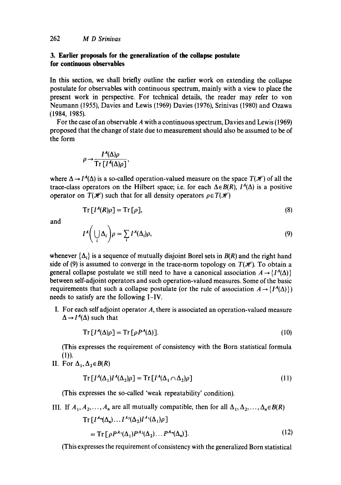# **3. Earlier proposals for the generalization of the collapse postulate for continuous observables**

In this section, we shall briefly outline the earlier work on extending the collapse postulate for observables with continuous spectrum, mainly with a view to place the present work in perspective. For technical details, the reader may refer to yon Neumann (1955), Davies and Lewis (t969) Davies (1976), Srinivas (t980) and Ozawa (1984, 1985).

For the case of an observable A with a continuous spectrum, Davies and Lewis (1969) proposed that the change of state due to measurement should also be assumed to be of the form

$$
\rho \rightarrow \frac{I^A(\Delta)\rho}{\operatorname{Tr}\left[I^A(\Delta)\rho\right]},
$$

where  $\Delta \rightarrow I^A(\Delta)$  is a so-called operation-valued measure on the space  $T(\mathcal{H})$  of all the trace-class operators on the Hilbert space; i.e. for each  $\Delta \in B(R)$ ,  $I^4(\Delta)$  is a positive operator on  $T(\mathcal{H})$  such that for all density operators  $\rho \in T(\mathcal{H})$ 

$$
Tr[I^{A}(R)\rho] = Tr[\rho], \qquad (8)
$$

and

$$
I^{A}\left(\bigcup_{i}\Delta_{i}\right)\rho=\sum_{i}I^{A}(\Delta_{i})\rho,
$$
\n(9)

whenever  $\{\Delta_i\}$  is a sequence of mutually disjoint Borel sets in  $B(R)$  and the right hand side of (9) is assumed to converge in the trace-norm topology on  $T(\mathcal{H})$ . To obtain a general collapse postulate we still need to have a canonical association  $A \rightarrow \{I^A(\Delta)\}\$ between self-adjoint operators and such operation-valued measures. Some of the basic requirements that such a collapse postulate (or the rule of association  $A \rightarrow \{I^A(\Delta)\}\$ ) needs to satisfy are the following I-IV.

I. For each self adjoint operator A, there is associated an operation-valued measure  $\Delta \rightarrow I^A(\Delta)$  such that

$$
Tr[I^{A}(\Delta)\rho] = Tr[\rho P^{A}(\Delta)].
$$
\n(10)

(This expresses the requirement of consistency with the Born statistical formula (1)).

II. For  $\Delta_1, \Delta_2 \in B(R)$ 

$$
Tr[I^{A}(\Delta_{1})I^{A}(\Delta_{2})\rho] = Tr[I^{A}(\Delta_{1} \cap \Delta_{2})\rho]
$$
\n(11)

(This expresses the so-called 'weak repeatability' condition).

III. If 
$$
A_1, A_2, ..., A_n
$$
 are all mutually compatible, then for all  $\Delta_1, \Delta_2, ..., \Delta_n \in B(R)$ 

$$
Tr\left[I^{A_n}(\Delta_n)\dots I^{A_2}(\Delta_2)I^{A_1}(\Delta_1)\rho\right]
$$
  
= 
$$
Tr\left[\rho P^{A_1}(\Delta_1)P^{A_2}(\Delta_2)\dots P^{A_n}(\Delta_n)\right].
$$
 (12)

(This expresses the requirement of consistency with the generalized Born statistical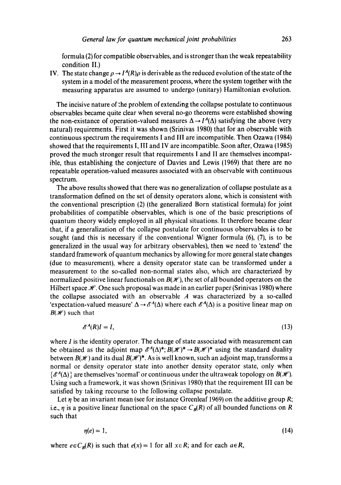formula (2) for compatible observables, and is stronger than the weak repeatability condition II.)

IV. The state change  $\rho \to I^A(R)\rho$  is derivable as the reduced evolution of the state of the system in a model of the measurement process, where the system together with the measuring apparatus are assumed to undergo (unitary) Hamiltonian evolution.

The incisive nature of the problem of extending the collapse postulate to continuous observables became quite clear when several no-go theorems were established showing the non-existance of operation-valued measures  $\Delta \rightarrow I^A(\Delta)$  satisfying the above (very natural) requirements. First it was shown (Srinivas 1980) that for an observable with continuous spectrum the requirements I and III are incompatible. Then Ozawa (1984) showed that the requirements I, III and IV are incompatible. Soon after, Ozawa (1985) proved the much stronger result that requirements I and II are themselves incompatible, thus establishing the conjecture of Davies and Lewis (1969) that there are no repeatable operation-valued measures associated with an observable with continuous spectrum.

The above results showed that there was no generalization of collapse postulate as a transformation defined on the set of density operators alone, which is consistent with the conventional prescription (2) (the generalized Born statistical formula) for joint probabilities of compatible observables, which is one of the basic prescriptions of quantum theory widely employed in all physical situations. It therefore became clear that, if a generalization of the collapse postulate for continuous observables is to be sought (and this is necessary if the conventional Wigner formula  $(6)$ ,  $(7)$ , is to be generalized in the usual way for arbitrary observables), then we need to 'extend' the standard framework of quantum mechanics by allowing for more general state changes (due to measurement), where a density operator state can be transformed under a measurement to the so-called non-normal states also, which are characterized by normalized positive linear functionals on  $B(\mathscr{H})$ , the set of all bounded operators on the Hilbert space  $\mathcal{H}$ . One such proposal was made in an earlier paper (Srinivas 1980) where the collapse associated with an observable  $A$  was characterized by a so-called 'expectation-valued measure'  $\Delta \rightarrow \mathcal{E}^{A}(\Delta)$  where each  $\mathcal{E}^{A}(\Delta)$  is a positive linear map on  $B({\mathscr H})$  such that

$$
\mathscr{E}^A(R)I = I,\tag{13}
$$

where  $I$  is the identity operator. The change of state associated with measurement can be obtained as the adjoint map  $\mathscr{E}^A(\Delta)^*$ ;  $B(\mathscr{H})^* \to B(\mathscr{H})^*$  using the standard duality between  $B(\mathscr{H})$  and its dual  $B(\mathscr{H})^*$ . As is well known, such an adjoint map, transforms a normal or density operator state into another density operator state, only when  $\{\mathscr{E}^A(\Delta)\}\$ are themselves 'normal' or continuous under the ultraweak topology on  $B(\mathscr{H})$ . Using such a framework, it was shown (Srinivas 1980) that the requirement IlI can be satisfied by taking recourse to the following collapse postulate.

Let  $\eta$  be an invariant mean (see for instance Greenleaf 1969) on the additive group R; i.e.,  $\eta$  is a positive linear functional on the space  $C_B(R)$  of all bounded functions on R such that

$$
\eta(e) = 1,\tag{14}
$$

where  $e \in C_B(R)$  is such that  $e(x) = 1$  for all  $x \in R$ ; and for each  $a \in R$ ,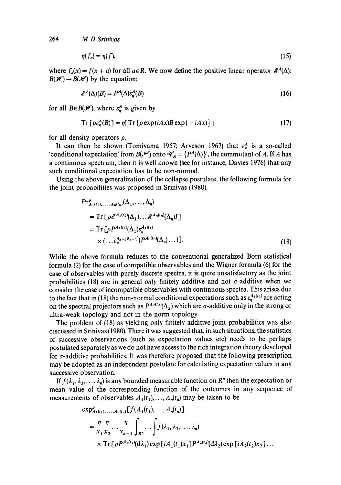$$
\eta(f_a) = \eta(f),\tag{15}
$$

where  $f_n(x) = f(x + a)$  for all  $a \in R$ . We now define the positive linear operator  $\mathscr{E}^A(\Delta)$ :  $B(\mathcal{H}) \rightarrow B(\mathcal{H})$  by the equation:

$$
\mathscr{E}^A(\Delta)(B) = P^A(\Delta)\varepsilon_n^A(B) \tag{16}
$$

for all  $B \in B(\mathcal{H})$ , where  $\varepsilon_n^A$  is given by

$$
Tr[\rho \varepsilon_n^A(B)] = \eta [Tr{\rho \exp(iAx)B \exp(-iAx)}]
$$
 (17)

for all density operators  $\rho$ .

It can then be shown (Tomiyama 1957; Arveson 1967) that  $\varepsilon_n^A$  is a so-called 'conditional expectation' from  $B(\mathcal{L})$  onto  $\mathcal{U}'_A = \{P^A(\Delta)\}'$ , the commutant of A. If A has a continuous spectrum, then it is well known (see for instance, Davies 1976) that any such conditional expectation has to be non-normal.

Using the above generalization of the collapse postulate, the following formula for the joint probabilities was proposed in Srinivas (1980).

$$
Pr_{A_1(t_1),...,A_n(t_n)}^{\rho}(\Delta_1,...,\Delta_n)
$$
  
= Tr  $\left[\rho \mathcal{E}^{A_1(t_1)}(\Delta_1)... \mathcal{E}^{A_n(t_n)}(\Delta_n)I\right]$   
= Tr  $\left[\rho P^{A_1(t_1)}(\Delta_1)\varepsilon_n^{A_1(t_1)}\right]$   
 $\times \left(... \varepsilon_n^{A_{n-1}(t_{n-1})}(P^{A_n(t_n)}(\Delta_n)...)\right].$  (18)

While the above formula reduces to the conventional generalized Born statistical formula (2) for the case of compatible observables and the Wigner formula (6) for the case of observables with purely discrete spectra, it is quite unsatisfactory as the joint probabilities (18) are in general *only* finitely additive and not  $\sigma$ -additive when we consider the case of incompatible observables with continuous spectra. This arises due to the fact that in (18) the non-normal conditional expectations such as  $\varepsilon_n^{A_1(t_1)}$  are acting on the spectral projectors such as  $P^{A_2(t_2)}(\Delta_2)$  which are  $\sigma$ -additive only in the strong or ultra-weak topology and not in the norm topology.

The problem of (18) as yielding only finitely additive joint probabilities was also discussed in Srinivas (1980). There it was suggested that, in such situations, the statistics of successive observations (such as expectation values etc) needs to be perhaps postulated separately as we do not have access to the rich integration theory developed for a-additive probabilities. It was therefore proposed that the following prescription may be adopted as an independent postulate for calculating expectation values in any successive observation.

If  $f(\lambda_1, \lambda_2, ..., \lambda_n)$  is any bounded measurable function on  $R^n$  then the expectation or mean value of the corresponding function of the outcomes in any sequence of measurements of observables  $A_1(t_1),..., A_n(t_n)$  may be taken to be

$$
\exp_{A_1(t_1),...,A_n(t_n)}^{\rho}[f(A_1(t_1),...,A_n(t_n)]
$$
\n
$$
= \frac{\eta \eta}{x_1 x_2} \cdots \frac{\eta}{x_{n-1}} \int_{R^n} \cdots \int f(\lambda_1, \lambda_2, ..., \lambda_n)
$$
\n
$$
\times \operatorname{Tr}[\rho P^{A_1(t_1)}(\mathrm{d}\lambda_1) \exp[iA_1(t_1)x_1] P^{A_2(t_2)}(\mathrm{d}\lambda_2) \exp[iA_2(t_2)x_2] \cdots
$$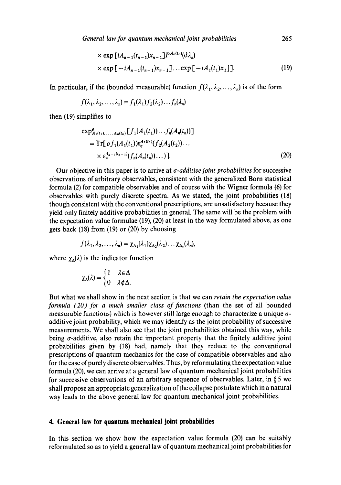*General law for quantum mechanical joint probabilities* 265

$$
\times \exp\left[iA_{n-1}(t_{n-1})X_{n-1}\right]P^{A_n(t_n)}(\mathrm{d}\lambda_n)
$$
  
 
$$
\times \exp\left[-iA_{n-1}(t_{n-1})X_{n-1}\right]\dots \exp\left[-iA_1(t_1)X_1\right]. \tag{19}
$$

In particular, if the (bounded measurable) function  $f(\lambda_1, \lambda_2, \ldots, \lambda_n)$  is of the form

$$
f(\lambda_1, \lambda_2, \ldots, \lambda_n) = f_1(\lambda_1) f_2(\lambda_2) \ldots f_n(\lambda_n)
$$

then (19) simplifies to

$$
\exp_{A_1(t_1),...,A_n(t_n)}^{\rho}[f_1(A_1(t_1))...f_n(A_n(t_n))]
$$
  
= Tr[ $\rho f_1(A_1(t_1))\varepsilon_n^{A_1(t_1)}(f_2(A_2(t_2))... \times \varepsilon_n^{A_{n-1}(t_{n-1})}(f_n(A_n(t_n))...)].$  (20)

Our objective in this paper is to arrive at *a-additive joint probabilities* for successive observations of arbitrary observables, consistent with the generalized Born statistical formula (2) for compatible observables and of course with the Wigner formula (6) for observables with purely discrete spectra. As we stated, the joint probabilities (18) though consistent with the conventional prescriptions, are unsatisfactory because they yield only finitely additive probabilities in general. The same will be the problem with the expectation value formulae (19), (20) at least in the way formulated above, as one gets back (18) from (19) or (20) by choosing

$$
f(\lambda_1, \lambda_2, \ldots, \lambda_n) = \chi_{\Delta_1}(\lambda_1) \chi_{\Delta_2}(\lambda_2) \ldots \chi_{\Delta_n}(\lambda_n),
$$

where  $\chi_{\Delta}(\lambda)$  is the indicator function

$$
\chi_{\Delta}(\lambda) = \begin{cases} 1 & \lambda \in \Delta \\ 0 & \lambda \notin \Delta. \end{cases}
$$

But what we shall show in the next section is that we can *retain the expectation value formula (20) for a much smaller class of functions* (than the set of all bounded measurable functions) which is however still large enough to characterize a unique  $\sigma$ additive joint probability, which we may identify as the joint probability of successive measurements. We shall also see that the joint probabilities obtained this way, while being  $\sigma$ -additive, also retain the important property that the finitely additive joint probabilities given by (18) had, namely that they reduce to the conventional prescriptions of quantum mechanics for the case of compatible observables and also for the case of purely discrete observables. Thus, by reformulating the expectation value formula (20), we can arrive at a general law of quantum mechanical joint probabilities for successive observations of an arbitrary sequence of observables. Later, in § 5 we shall propose an appropriate generalization of the collapse postulate which in a natural way leads to the above general law for quantum mechanical joint probabilities.

### **4. General law for quantum mechanical joint probabilities**

In this section we show how the expectation value formula (20) can be suitably reformulated so as to yield a general law of quantum mechanical joint probabilities for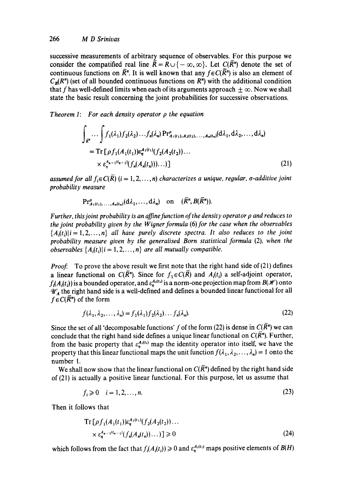successive measurements of arbitrary sequence of observables. For this purpose we consider the compatified real line  $\overline{R} = R \cup \{-\infty, \infty\}$ . Let  $C(\overline{R})^n$  denote the set of continuous functions on  $\overline{R}$ <sup>n</sup>. It is well known that any  $f \in C(\overline{R}^n)$  is also an element of  $C_R(R^n)$  (set of all bounded continuous functions on  $R^n$ ) with the additional condition that f has well-defined limits when each of its arguments approach  $\pm \infty$ . Now we shall state the basic result concerning the joint probabilities for successive observations.

*Theorem I: For each density operator p the equation* 

$$
\int_{\vec{R}^n} \cdots \int f_1(\lambda_1) f_2(\lambda_2) \cdots f_n(\lambda_n) \Pr_{A_1(t_1), A_2(t_2), \ldots, A_n(t_n)}^{\rho} (d\lambda_1, d\lambda_2, \ldots, d\lambda_n)
$$
\n
$$
= \mathrm{Tr} \left[ \rho f_1(A_1(t_1)) \epsilon_n^{A_1(t_1)} (f_2(A_2(t_2)) \ldots \times \epsilon_n^{A_{n-1}(t_{n-1})} (f_n(A_n(t_n))) \ldots \right]
$$
\n
$$
(21)
$$

*assumed for all*  $f_i \in C(\overline{R})$  *(i = 1, 2, ..., n) characterizes a unique, regular,*  $\sigma$ *-additive joint probability measure* 

$$
\Pr_{A_1(t_1),\ldots,A_n(t_n)}(d\lambda_1,\ldots,d\lambda_n) \quad \text{on} \quad (\overline{R}^n,B(\overline{R}^n)).
$$

*Further, this joint probability is an affine function of the density operator p and reduces to the joint probability given by the Wigner formula (6) for the case when the observables*  ${A_i(t_i)|i=1,2,\ldots,n}$  *all have purely discrete spectra. It also reduces to the joint probability measure given by the generalised Born statistical formula* (2), when the *observables*  $\{A_i(t_i)|i=1, 2, ..., n\}$  are all mutually compatible.

*Proof.* To prove the above result we first note that the right hand side of (21) defines a linear functional on  $C(\overline{R})^n$ . Since for  $f_1 \in C(\overline{R})$  and  $A_i(t_i)$  a self-adjoint operator,  $f<sub>i</sub>(A<sub>i</sub>(t<sub>i</sub>))$  is a bounded operator, and  $\varepsilon_n^{A<sub>i</sub>(t<sub>i</sub>)}$  is a norm-one projection map from  $B(\mathcal{H})$  onto  $\mathscr{U}_A'$  the right hand side is a well-defined and defines a bounded linear functional for all  $f \in C(\overline{R})$  of the form

$$
f(\lambda_1, \lambda_2, \dots, \lambda_n) = f_1(\lambda_1) f_2(\lambda_2) \dots f_n(\lambda_n). \tag{22}
$$

Since the set of all 'decomposable functions' f of the form (22) is dense in  $C(\overline{R})^n$  we can conclude that the right hand side defines a unique linear functional on  $C(\overline{R})^n$ . Further, from the basic property that  $\varepsilon_n^{A_i(t_i)}$  map the identity operator into itself, we have the property that this linear functional maps the unit function  $f(\lambda_1, \lambda_2, ..., \lambda_n) = 1$  onto the number 1.

We shall now show that the linear functional on  $C(\overline{R})$  defined by the right hand side of (21) is actually a positive linear functional. For this purpose, let us assume that

$$
f_i \geqslant 0 \quad i = 1, 2, \dots, n. \tag{23}
$$

Then it follows that

$$
\operatorname{Tr} \left[ \rho f_1(A_1(t_1)) \varepsilon_n^{A_1(t_1)} (f_2(A_2(t_2)) \dots \right] \times \varepsilon_n^{A_{n-1}(t_{n-1})} (f_n(A_n(t_n)) \dots) \right] \ge 0 \tag{24}
$$

which follows from the fact that  $f_i(A_i(t_i)) \ge 0$  and  $\epsilon_n^{A_i(t_i)}$  maps positive elements of  $B(H)$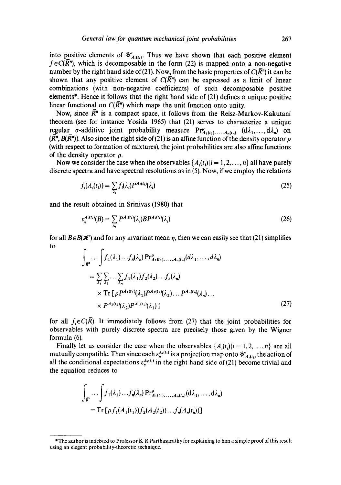into positive elements of  $\mathcal{U}'_{A_i(t_i)}$ . Thus we have shown that each positive element  $f \in C(\overline{R})^n$ , which is decomposable in the form (22) is mapped onto a non-negative number by the right hand side of (21). Now, from the basic properties of  $C(\overline{R}^n)$  it can be shown that any positive element of  $C(\overline{R}^{n})$  can be expressed as a limit of linear combinations (with non-negative coefficients) of such decomposable positive elements\*. Hence it follows that the right hand side of (21) defines a unique positive linear functional on  $C(\overline{R})^n$  which maps the unit function onto unity.

Now, since  $\overline{R}$ <sup>*n*</sup> is a compact space, it follows from the Reisz-Markov-Kakutani theorem (see for instance Yosida 1965) that (21) serves to characterize a unique regular  $\sigma$ -additive joint probability measure  $Pr^{\rho}_{A_1(t_1),...,A_n(t_n)}$   $(d\lambda_1,...,d\lambda_n)$  on  $(\overline{R}^n, B(\overline{R}^n))$ . Also since the right side of (21) is an affine function of the density operator  $\rho$ (with respect to formation of mixtures), the joint probabilities are also affine functions of the density operator  $\rho$ .

Now we consider the case when the observables  $\{A_i(t_i)|i = 1, 2, ..., n\}$  all have purely discrete spectra and have spectral resolutions as in (5). Now, if we employ the relations

$$
f_i(A_i(t_i)) = \sum_{\lambda_i} f_i(\lambda_i) P^{A_i(t_i)}(\lambda_i)
$$
\n(25)

and the result obtained in Srinivas (1980) that

$$
\varepsilon_{\eta}^{A_i(t_i)}(B) = \sum_{\lambda_i} P^{A_i(t_i)}(\lambda_i) B P^{A_i(t_i)}(\lambda_i)
$$
\n(26)

for all  $B \in B(\mathcal{H})$  and for any invariant mean  $\eta$ , then we can easily see that (21) simplifies to

$$
\int_{\overline{R}^n} \cdots \int f_1(\lambda_1) \cdots f_n(\lambda_n) \Pr_{A_1(t_1), \ldots, A_n(t_n)}^{\rho}(d\lambda_1, \ldots, d\lambda_n)
$$
\n
$$
= \sum_{\lambda_1} \sum_{\lambda_2} \cdots \sum_{\lambda_n} f_1(\lambda_1) f_2(\lambda_2) \cdots f_n(\lambda_n)
$$
\n
$$
\times \operatorname{Tr} \left[ \rho P^{A_1(t_1)}(\lambda_1) P^{A_2(t_2)}(\lambda_2) \cdots P^{A_n(t_n)}(\lambda_n) \cdots \right]
$$
\n
$$
\times P^{A_2(t_2)}(\lambda_2) P^{A_1(t_1)}(\lambda_1) \tag{27}
$$

for all  $f_i \in C(\overline{R})$ . It immediately follows from (27) that the joint probabilities for observables with purely discrete spectra are precisely those given by the Wigner formula (6).

Finally let us consider the case when the observables  $\{A_i(t_i)|i=1,2,\ldots,n\}$  are all mutually compatible. Then since each  $\varepsilon_n^{A_1(t_1)}$  is a projection map onto  $\mathscr{U}'_{A_1(t_1)}$  the action of all the conditional expectations  $\varepsilon_n^{A_i(t_i)}$  in the right hand side of (21) become trivial and the equation reduces to

$$
\int_{\overline{R}^n} \dots \int f_1(\lambda_1) \dots f_n(\lambda_n) \Pr_{A_1(t_1), \dots, A_n(t_n)}^{\rho}(\mathrm{d}\lambda_1, \dots, \mathrm{d}\lambda_n)
$$
\n
$$
= \mathrm{Tr} \left[ \rho f_1(A_1(t_1)) f_2(A_2(t_2)) \dots f_n(A_n(t_n)) \right]
$$

<sup>\*</sup>The author is indebted to Professor K R Parthasarathy for explaining to him a simple proof of this result using an elegent probability-theoretic technique.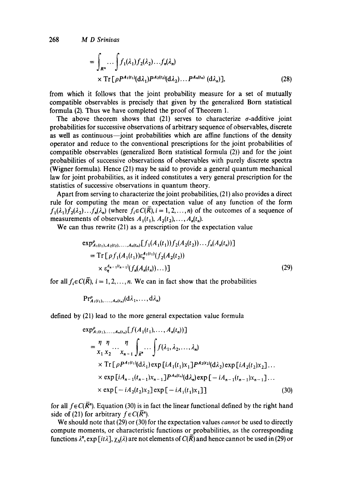$$
= \int_{R^n} \cdots \int f_1(\lambda_1) f_2(\lambda_2) \cdots f_n(\lambda_n)
$$
  
× Tr  $\left[ \rho P^{A_1(t_1)}(\mathrm{d}\lambda_1) P^{A_2(t_2)}(\mathrm{d}\lambda_2) \cdots P^{A_n(t_n)}(\mathrm{d}\lambda_n) \right],$  (28)

from which it follows that the joint probability measure for a set of mutually compatible observables is precisely that given by the generalized Born statistical formula (2). Thus we have completed the proof of Theorem 1.

The above theorem shows that (21) serves to characterize  $\sigma$ -additive joint probabilities for successive observations of arbitrary sequence of observables, discrete as well as continuous--joint probabilities which are affine functions of the density operator and reduce to the conventional prescriptions for the joint probabilities of compatible observables (generalized Born statistical formula (2)) and for the joint probabilities of successive observations of observables with purely discrete spectra (Wigner formula). Hence (21) may be said to provide a general quantum mechanical law for joint probabilities, as it indeed constitutes a very general prescription for the statistics of successive observations in quantum theory.

Apart from serving to characterize the joint probabilities, (21) also provides a direct rule for computing the mean or expectation value of any function of the form  $f_1(\lambda_1)f_2(\lambda_2)...f_n(\lambda_n)$  (where  $f_i \in C(\overline{R}), i = 1, 2, ..., n$ ) of the outcomes of a sequence of measurements of observables  $A_1(t_1), A_2(t_2), \ldots, A_n(t_n)$ .

We can thus rewrite (21) as a prescription for the expectation value

$$
\exp_{A_1(t_1), A_2(t_2), \dots, A_n(t_n)}^{\rho}[f_1(A_1(t_1))f_2(A_2(t_2))\dots f_n(A_n(t_n))]
$$
\n
$$
= \mathrm{Tr}\left[\rho f_1(A_1(t_1))\epsilon_n^{A_1(t_1)}(f_2(A_2(t_2))\right]
$$
\n
$$
\times \epsilon_n^{A_{n-1}(t_{n-1})}(f_n(A_n(t_n))\dots)]
$$
\n(29)

for all  $f_i \in C(\overline{R})$ ,  $i = 1, 2, ..., n$ . We can in fact show that the probabilities

$$
\mathrm{Pr}_{A_1(t_1),\ldots,A_n(t_n)}^{\rho}(d\lambda_1,\ldots,d\lambda_n)
$$

defined by (21) lead to the more general expectation value formula

$$
\exp_{A_1(t_1),...,A_n(t_n)}^{\rho}[f(A_1(t_1),...,A_n(t_n))]
$$
\n
$$
= \frac{\eta \eta}{x_1 x_2} \cdots \frac{\eta}{x_{n-1}} \int_{\bar{\mathbb{R}}^n} \cdots \int f(\lambda_1, \lambda_2, ..., \lambda_n)
$$
\n
$$
\times \operatorname{Tr}[\rho P^{A_1(t_1)}(\mathrm{d}\lambda_1) \exp[iA_1(t_1)x_1] P^{A_2(t_2)}(\mathrm{d}\lambda_2) \exp[iA_2(t_2)x_2] \cdots
$$
\n
$$
\times \exp[iA_{n-1}(t_{n-1})x_{n-1}] P^{A_n(t_n)}(\mathrm{d}\lambda_n) \exp[-iA_{n-1}(t_{n-1})x_{n-1}] \cdots
$$
\n
$$
\times \exp[-iA_2(t_2)x_2] \exp[-iA_1(t_1)x_1]] \qquad (30)
$$

for all  $f \in C(\overline{R})$ . Equation (30) is in fact the linear functional defined by the right hand side of (21) for arbitrary  $f \in C(\overline{R})^n$ .

We should note that (29) or (30) for the expectation values *cannot* be used to directly compute moments, or characteristic functions or probabilities, as the corresponding functions  $\lambda^n$ , exp [it $\lambda$ ],  $\chi_{\Delta}(\lambda)$  are not elements of  $C(\overline{R})$  and hence cannot be used in (29) or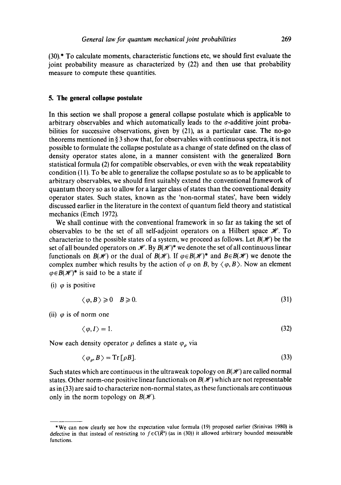(30).\* To calculate moments, characteristic functions etc, we should first evaluate the joint probability measure as characterized by (22) and then use that probability measure to compute these quantities.

#### **5. The general collapse postulate**

In this section we shall propose a general collapse postulate which is applicable to arbitrary observables and which automatically leads to the  $\sigma$ -additive joint probabilities for successive observations, given by (21), as a particular case. The no-go theorems mentioned in  $\S$ 3 show that, for observables with continuous spectra, it is not possible to formulate the collapse postulate as a change of state defined on the class of density operator states alone, in a manner consistent with the generalized Born statistical formula (2) for compatible observables, or even with the weak repeatability condition (11). To be able to generalize the collapse postulate so as to be applicable to arbitrary observables, we should first suitably extend the conventional framework of quantum theory so as to allow for a larger class of states than the conventional density operator states. Such states, known as the 'non-normal states', have been widely discussed earlier in the literature in the context of quantum field theory and statistical mechanics (Emch 1972).

We shall continue with the conventional framework in so far as taking the set of observables to be the set of all self-adjoint operators on a Hilbert space  $\mathcal{H}$ . To characterize to the possible states of a system, we proceed as follows. Let  $B(\mathcal{H})$  be the set of all bounded operators on  $\mathcal{H}$ . By  $B(\mathcal{H})^*$  we denote the set of all continuous linear functionals on  $B(\mathcal{H})$  or the dual of  $B(\mathcal{H})$ . If  $\varphi \in B(\mathcal{H})^*$  and  $B \in B(\mathcal{H})$  we denote the complex number which results by the action of  $\varphi$  on B, by  $\langle \varphi, B \rangle$ . Now an element  $\varphi \in B(\mathcal{H})^*$  is said to be a state if

(i)  $\varphi$  is positive

$$
\langle \varphi, B \rangle \geqslant 0 \quad B \geqslant 0. \tag{31}
$$

(ii)  $\varphi$  is of norm one

$$
\langle \varphi, I \rangle = 1. \tag{32}
$$

Now each density operator  $\rho$  defines a state  $\varphi_{\rho}$  via

$$
\langle \varphi_o, B \rangle = \text{Tr} \left[ \rho B \right]. \tag{33}
$$

Such states which are continuous in the ultraweak topology on  $B(\mathcal{H})$  are called normal states. Other norm-one positive linear functionals on  $B(\mathcal{H})$  which are not representable as in (33) are said to characterize non-normal states, as these functionals are continuous only in the norm topology on  $B(\mathcal{H})$ .

<sup>\*</sup>We can now clearly see how the expectation value formula (19) proposed earlier (Srinivas 1980) is defective in that instead of restricting to  $f \in C(\overline{R})$  (as in (30)) it allowed arbitrary bounded measurable functions.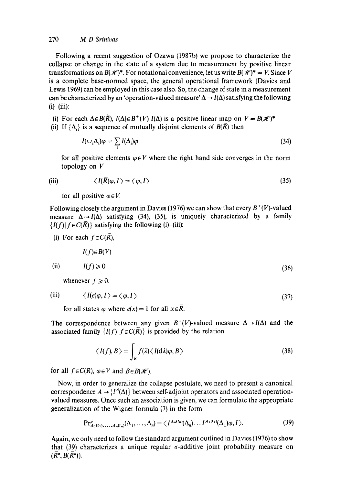Following a recent suggestion of Ozawa (1987b) we propose to characterize the collapse or change in the state of a system due to measurement by positive linear transformations on  $B(K)^*$ . For notational convenience, let us write  $B(K)^* = V$ . Since V is a complete base-normed space, the general operational framework (Davies and Lewis 1969) can be employed in this case also. So, the change of state in a measurement can be characterized by an 'operation-valued measure'  $\Delta \rightarrow I(\Delta)$  satisfying the following  $(i)$ - $(iii)$ :

(i) For each  $\Delta \in B(\overline{R})$ ,  $I(\Delta) \in B^+(V)$   $I(\Delta)$  is a positive linear map on  $V = B(\mathcal{H})^*$ (ii) If  $\{\Delta_i\}$  is a sequence of mutually disjoint elements of  $B(\overline{R})$  then

$$
I(\cup_i \Delta_i)\varphi = \sum_i I(\Delta_i)\varphi \tag{34}
$$

for all positive elements  $\varphi \in V$  where the right hand side converges in the norm topology on V

(iii) 
$$
\langle I(\bar{R})\varphi, I \rangle = \langle \varphi, I \rangle
$$
 (35)

for all positive  $\varphi \in V$ .

Following closely the argument in Davies (1976) we can show that every  $B^+(V)$ -valued measure  $\Delta \rightarrow I(\Delta)$  satisfying (34), (35), is uniquely characterized by a family  ${I(f) | f \in C(\overline{R})}$  satisfying the following (i)-(iii):

(i) For each 
$$
f \in C(\overline{R})
$$
,

 $I(f) \in B(V)$ 

(ii) 
$$
I(f) \geq 0
$$
 (36)

whenever  $f \ge 0$ .

 $\ldots$ 

(iii) 
$$
\langle I(e)\varphi, I\rangle = \langle \varphi, I\rangle
$$
 (37)

for all states  $\varphi$  where  $e(x) = 1$  for all  $x \in \overline{R}$ .

The correspondence between any given  $B^+(V)$ -valued measure  $\Delta \rightarrow I(\Delta)$  and the associated family  $\{I(f)|f \in C(\overline{R})\}$  is provided by the relation

$$
\langle I(f), B \rangle = \int_{\bar{R}} f(\lambda) \langle I(d\lambda)\varphi, B \rangle
$$
 (38)

for all  $f \in C(\overline{R})$ ,  $\varphi \in V$  and  $B \in B(\mathcal{H})$ .

Now, in order to generalize the collapse postulate, we need to present a canonical correspondence  $A \rightarrow \{I^A(\Delta)\}\$  between self-adjoint operators and associated operationvalued measures. Once such an association is given, we can formulate the appropriate generalization of the Wigner formula (7) in the form

$$
\Pr_{A_1(t_1),\ldots,A_n(t_n)}^{\rho}(\Delta_1,\ldots,\Delta_n)=\langle I^{A_n(t_n)}(\Delta_n)\ldots I^{A_1(t_1)}(\Delta_1)\varphi,I\rangle.
$$
 (39)

Again, we only need to follow the standard argument outlined in Davies (1976) to show that  $(39)$  characterizes a unique regular  $\sigma$ -additive joint probability measure on  $(\overline{R}^n, B(\overline{R}^n))$ .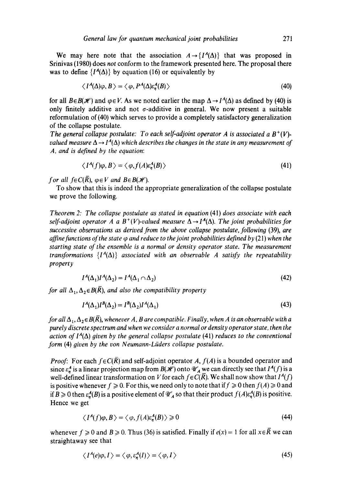We may here note that the association  $A \rightarrow \{I^A(\Lambda)\}\$  that was proposed in Srinivas (1980) does *not* conform to the framework presented here. The proposal there was to define  $\{I^A(\Delta)\}\$  by equation (16) or equivalently by

$$
\langle I^A(\Delta)\varphi, B\rangle = \langle \varphi, P^A(\Delta)\varepsilon_n^A(B)\rangle \tag{40}
$$

for all  $B \in B(\mathcal{H})$  and  $\varphi \in V$ . As we noted earlier the map  $\Delta \to I^A(\Delta)$  as defined by (40) is only finitely additive and not  $\sigma$ -additive in general. We now present a suitable reformulation of (40) which serves to provide a completely satisfactory generalization of the collapse postulate.

*The general collapse postulate: To each self-adjoint operator A is associated a B<sup>+</sup>(V)valued measure*  $\Delta \rightarrow I^A(\Delta)$  *which describes the changes in the state in any measurement of A, and is defined by the equation:* 

$$
\langle I^A(f)\varphi, B\rangle = \langle \varphi, f(A)\varepsilon_n^A(B)\rangle \tag{41}
$$

*f or all*  $f \in C(\overline{R})$ *,*  $\varphi \in V$  *and*  $B \in B(\mathcal{H})$ *.* 

To show that this is indeed the appropriate generalization of the collapse postulate we prove the following.

*Theorem 2: The collapse postulate as stated in equation* (41) *does associate with each self-adjoint operator A a B<sup>+</sup>(V)-valued measure*  $\Delta \rightarrow I^A(\Delta)$ . *The joint probabilities for successive observations as derived from the above collapse postulate, following (39), are affine functions of the state*  $\varphi$  *and reduce to the joint probabilities defined by (21) when the starting state of the ensemble is a normal or density operator state. The measurement transformations*  ${I^A(\Delta)}$  *associated with an observable A satisfy the repeatability property* 

$$
I^A(\Delta_1)I^A(\Delta_2) = I^A(\Delta_1 \cap \Delta_2) \tag{42}
$$

*for all*  $\Delta_1, \Delta_2 \in B(\overline{R})$ *, and also the compatibility property* 

$$
I^A(\Delta_1)I^B(\Delta_2) = I^B(\Delta_2)I^A(\Delta_1) \tag{43}
$$

*for all*  $\Delta_1$ ,  $\Delta_2 \in B(\overline{R})$ , *whenever A, B are compatible. Finally, when A is an observable with a purely discrete spectrum and when we consider a normal or density operator state, then the action of I<sup>A</sup>(* $\Delta$ *) given by the general collapse postulate (41) reduces to the conventional form* (4) *given by the yon Neumann-Liiders collapse postulate.* 

*Proof:* For each  $f \in C(\overline{R})$  and self-adjoint operator A,  $f(A)$  is a bounded operator and since  $\varepsilon_n^A$  is a linear projection map from  $B(\mathcal{H})$  onto  $\mathcal{U}_A'$  we can directly see that  $I^A(f)$  is a well-defined linear transformation on V for each  $f \in C(\overline{R})$ . We shall now show that  $I^A(f)$ is positive whenever  $f \ge 0$ . For this, we need only to note that if  $f \ge 0$  then  $f(A) \ge 0$  and if  $B\geq 0$  then  $\varepsilon_n^A(B)$  is a positive element of  $\mathcal{U}_A'$  so that their product  $f(A)\varepsilon_n^A(B)$  is positive. Hence we get

$$
\langle I^A(f)\varphi, B\rangle = \langle \varphi, f(A)\varepsilon_n^A(B)\rangle \geq 0
$$
\n(44)

whenever  $f \ge 0$  and  $B \ge 0$ . Thus (36) is satisfied. Finally if  $e(x) = 1$  for all  $x \in \overline{R}$  we can straightaway see that

$$
\langle I^A(e)\varphi, I \rangle = \langle \varphi, \varepsilon_n^A(I) \rangle = \langle \varphi, I \rangle \tag{45}
$$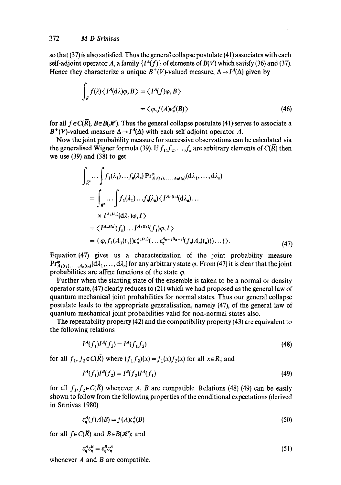so that (37) is also satisfied. Thus the general collapse postulate (41) associates with each self-adjoint operator A, a family  $\{I^A(f)\}\$  of elements of  $B(V)$  which satisfy (36) and (37). Hence they characterize a unique  $B^+(V)$ -valued measure,  $\Delta \rightarrow I^A(\Delta)$  given by

$$
\int_{\bar{R}} f(\lambda) \langle I^A(\mathrm{d}\lambda)\varphi, B \rangle = \langle I^A(f)\varphi, B \rangle
$$
  
=  $\langle \varphi, f(A)\varepsilon_n^A(B) \rangle$  (46)

for all  $f \in C(\overline{R})$ ,  $B \in B(\mathcal{H})$ . Thus the general collapse postulate (41) serves to associate a  $B^+(V)$ -valued measure  $\Delta \rightarrow I^A(\Delta)$  with each self adjoint operator A.

Now the joint probability measure for successive observations can be calculated via the generalised Wigner formula (39). If  $f_1, f_2, \ldots, f_n$  are arbitrary elements of  $C(\overline{R})$  then we use (39) and (38) to get

$$
\int_{\vec{R}^n} \cdots \int f_1(\lambda_1) \cdots f_n(\lambda_n) \Pr_{A_1(t_1), \ldots, A_n(t_n)}^{\varphi}(\mathrm{d}\lambda_1, \ldots, \mathrm{d}\lambda_n)
$$
\n
$$
= \int_{\vec{R}^n} \cdots \int f_1(\lambda_1) \cdots f_n(\lambda_n) \langle I^{A_n(t_n)}(\mathrm{d}\lambda_n) \cdots \times I^{A_1(t_1)}(\mathrm{d}\lambda_1)\varphi, I \rangle
$$
\n
$$
= \langle I^{A_n(t_n)}(f_n) \cdots I^{A_1(t_1)}(f_1)\varphi, I \rangle
$$
\n
$$
= \langle \varphi, f_1(A_1(t_1))\varepsilon_n^{A_1(t_1)}(\cdots \varepsilon_n^{A_{n-1}(t_{n-1})}(f_n(A_n(t_n)))\cdots)\rangle.
$$
\n(47)

Equation(47) gives us a characterization of the joint probability measure  $Pr_{A_1(t_1),...,A_n(t_n)}^{\phi}(d\lambda_1,...,d\lambda_n)$  for any arbitrary state  $\phi$ . From (47) it is clear that the joint probabilities are affine functions of the state  $\varphi$ .

Further when the starting state of the ensemble is taken to be a normal or density operator state, (47) clearly reduces to (21) which we had proposed as the general law of quantum mechanical joint probabilities for normal states. Thus our general collapse postulate leads to the appropriate generalisation, namely (47), of the general law of quantum mechanical joint probabilities valid for non-normal states also.

The repeatability property (42) and the compatibility property (43) are equivalent to the following relations

$$
I^A(f_1)I^A(f_2) = I^A(f_1f_2)
$$
\n(48)

for all  $f_1, f_2 \in C(\overline{R})$  where  $(f_1, f_2)(x) = f_1(x)f_2(x)$  for all  $x \in \overline{R}$ ; and

$$
I^A(f_1)I^B(f_2) = I^B(f_2)I^A(f_1)
$$
\n(49)

for all  $f_1, f_2 \in C(\overline{R})$  whenever A, B are compatible. Relations (48) (49) can be easily shown to follow from the following properties of the conditional expectations (derived in Srinivas 1980)

$$
\varepsilon_n^A(f(A)B) = f(A)\varepsilon_n^A(B) \tag{50}
$$

for all  $f \in C(\overline{R})$  and  $B \in B(\mathcal{H})$ ; and

$$
\varepsilon_{\eta}^A \varepsilon_{\eta}^B = \varepsilon_{\eta}^B \varepsilon_{\eta}^A \tag{51}
$$

whenever  $A$  and  $B$  are compatible.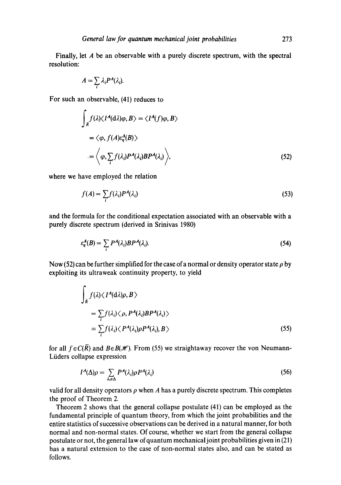Finally, let A be an observable with a purely discrete spectrum, with the spectral resolution:

$$
A=\sum_i \lambda_i P^A(\lambda_i).
$$

For such an observable, (41) reduces to

$$
\int_{\overline{R}} f(\lambda) \langle I^{A}(\mathrm{d}\lambda) \varphi, B \rangle = \langle I^{A}(f) \varphi, B \rangle
$$
  
=  $\langle \varphi, f(A) \varepsilon_{\eta}^{A}(B) \rangle$   
=  $\langle \varphi, \sum_{i} f(\lambda_{i}) P^{A}(\lambda_{i}) B P^{A}(\lambda_{i}) \rangle,$  (52)

where we have employed the relation

$$
f(A) = \sum_{i} f(\lambda_i) P^A(\lambda_i)
$$
\n(53)

and the formula for the conditional expectation associated with an observable with a purely discrete spectrum (derived in Srinivas 1980)

$$
\varepsilon_{\eta}^{A}(B) = \sum_{i} P^{A}(\lambda_{i}) B P^{A}(\lambda_{i}). \tag{54}
$$

Now (52) can be further simplified for the case of a normal or density operator state  $\rho$  by exploiting its ultraweak continuity property, to yield

$$
\int_{\bar{R}} f(\lambda) \langle I^A(\mathrm{d}\lambda)\rho, B \rangle
$$
\n
$$
= \sum_{i} f(\lambda_i) \langle \rho, P^A(\lambda_i) B P^A(\lambda_i) \rangle
$$
\n
$$
= \sum_{i} f(\lambda_i) \langle P^A(\lambda_i) \rho P^A(\lambda_i), B \rangle
$$
\n(55)

for all  $f \in C(\overline{R})$  and  $B \in B(\mathcal{H})$ . From (55) we straightaway recover the von Neumann-Liiders collapse expression

$$
I^{A}(\Delta)\rho = \sum_{\lambda_i \in \Delta} P^{A}(\lambda_i) \rho P^{A}(\lambda_i)
$$
 (56)

valid for all density operators  $\rho$  when A has a purely discrete spectrum. This completes the proof of Theorem 2.

Theorem 2 shows that the general collapse postulate (41) can be employed as the fundamental principle of quantum theory, from which the joint probabilities and the entire statistics of successive observations can be derived in a natural manner, for both normal and non-normal states. Of course, whether we start from the general collapse postulate or not, the general law of quantum mechanical joint probabilities given in (21) has a natural extension to the case of non-normal states also, and can be stated as follows.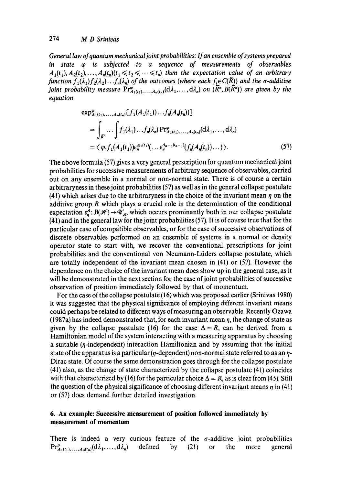*General law of quantum mechanical joint probabilities: If an ensemble of systems prepared in state tp is subjected to a sequence of measurements of observables*   $A_1(t_1), A_2(t_2), \ldots, A_n(t_n)(t_1 \leq t_2 \leq \cdots \leq t_n)$  then the expectation value of an arbitrary *function*  $f_1(\lambda_1)f_2(\lambda_2)...f_n(\lambda_n)$  *of the outcomes (where each*  $f_i \in C(\overline{R})$ *) and the*  $\sigma$ *-additive joint probability measure*  $Pr_{A_1(t_1),...,A_n(t_n)}^{\phi}(d\lambda_1,...,d\lambda_n)$  *on*  $(\overline{R}^n, B(\overline{R}^n))$  *are given by the equation* 

$$
\exp_{A_1(t_1),...,A_n(t_n)}^{\varphi} [f_1(A_1(t_1))...f_n(A_n(t_n))]
$$
\n
$$
= \int_{\bar{R}^n} ... \int f_1(\lambda_1)...f_n(\lambda_n) \Pr_{A_1(t_1),...,A_n(t_n)}^{\varphi} (d\lambda_1,...,d\lambda_n)
$$
\n
$$
= \langle \varphi, f_1(A_1(t_1)) \varepsilon_n^{A_1(t_1)} (... \varepsilon_n^{A_{n-1}(t_{n-1})} (f_n(A_n(t_n))... ) \rangle.
$$
\n(57)

The above formula (57) gives a very general prescription for quantum mechanical joint probabilities for successive measurements of arbitrary sequence of observables, carried out on any ensemble in a normal or non-normal state. There is of course a certain arbitraryness in these joint probabilities (57) as well as in the general collapse postulate (41) which arises due to the arbitraryness in the choice of the invariant mean  $\eta$  on the additive group R which plays a crucial role in the determination of the conditional expectation  $\varepsilon_n^A$ :  $B(\mathcal{H}) \to \mathcal{U}_A$ , which occurs prominantly both in our collapse postulate (41) and in the general law for the joint probabilities (57). It is of course true that for the particular case of compatible observables, or for the case of successive observations of discrete observables performed on an ensemble of systems in a normal or density operator state to start with, we recover the conventional prescriptions for joint probabilities and the conventional von Neumann-Liiders collapse postulate, which are totally independent of the invariant mean chosen in (41) or (57). However the dependence on the choice of the invariant mean does show up in the general case, as it will be demonstrated in the next section for the case of joint probabilities of successive observation of position immediately followed by that of momentum.

For the case of the collapse postulate (16) which was proposed earlier (Srinivas 1980) it was suggested that the physical significance of employing different invariant means could perhaps be related to different ways ofmeasuring an observable. Recently Ozawa  $(1987a)$  has indeed demonstrated that, for each invariant mean  $\eta$ , the change of state as given by the collapse pastulate (16) for the case  $\Delta = R$ , can be derived from a Hamiltonian model of the system interacting with a measuring apparatus by choosing a suitable  $(\eta$ -independent) interaction Hamiltonian and by assuming that the initial state of the apparatus is a particular  $(p$ -dependent) non-normal state referred to as an  $\eta$ -Dirac state. Of course the same demonstration goes through for the collapse postulate (41) also, as the change of state characterized by the collapse postulate (41) coincides with that characterized by (16) for the particular choice  $\Delta = R$ , as is clear from (45). Still the question of the physical significance of choosing different invariant means  $\eta$  in (41) or (57) does demand further detailed investigation.

# **6. An example: Successive measurement of position followed immediately by measurement of momentum**

There is indeed a very curious feature of the  $\sigma$ -additive joint probabilities  $Pr^{\rho}_{A_1(t_1), \dots, A_n(t_n)}(d\lambda_1, \dots, d\lambda_n)$  defined by (21) or the more general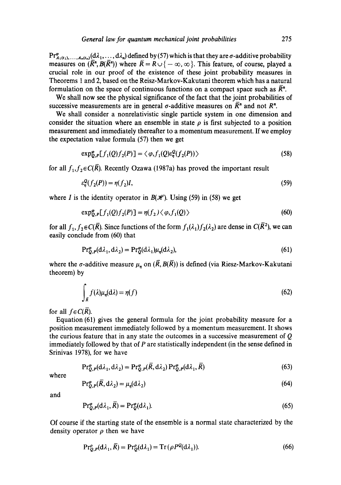$Pr_{A_1(t_1),...,A_n(t_n)}^{\phi}(d\lambda_1,...,d\lambda_n)$  defined by (57) which is that they are  $\sigma$ -additive probability measures on  $(\overline{R}^n, B(\overline{R}^n))$  where  $\overline{R} = R \cup \{-\infty, \infty\}$ . This feature, of course, played a crucial role in our proof of the existence of these joint probability measures in Theorems 1 and 2, based on the Reisz-Markov-Kakutani theorem which has a natural formulation on the space of continuous functions on a compact space such as  $\bar{R}^n$ .

We shall now see the physical significance of the fact that the joint probabilities of successive measurements are in general  $\sigma$ -additive measures on  $\overline{R}$ <sup>n</sup> and not  $R$ <sup>n</sup>.

We shall consider a nonrelativistic single particle system in one dimension and consider the situation where an ensemble in state  $\rho$  is first subjected to a position measurement and immediately thereafter to a momentum measurement. If we employ the expectation value formula (57) then we get

$$
\exp_{\mathcal{Q},P}^{\mathcal{P}}[f_1(Q)f_2(P)] = \langle \varphi, f_1(Q)\varepsilon_{\eta}^Q(f_2(P)) \rangle \tag{58}
$$

for all  $f_1, f_2 \in C(\overline{R})$ . Recently Ozawa (1987a) has proved the important result

$$
\varepsilon_n^{\mathcal{Q}}(f_2(P)) = \eta(f_2)I,\tag{59}
$$

where I is the identity operator in  $B(\mathcal{H})$ . Using (59) in (58) we get

$$
\exp_{Q,P}^{\phi}[f_1(Q)f_2(P)] = \eta(f_2) \langle \varphi, f_1(Q) \rangle \tag{60}
$$

for all  $f_1, f_2 \in C(\overline{R})$ . Since functions of the form  $f_1(\lambda_1)f_2(\lambda_2)$  are dense in  $C(\overline{R}^2)$ , we can easily conclude from (60) that

$$
\Pr_{Q,P}^{\varphi}(d\lambda_1, d\lambda_2) = \Pr_{Q}^{\varphi}(d\lambda_1)\mu_{\eta}(d\lambda_2),\tag{61}
$$

where the  $\sigma$ -additive measure  $\mu_n$  on  $(\overline{R}, B(\overline{R}))$  is defined (via Riesz-Markov-Kakutani theorem) by

$$
\int_{\vec{R}} f(\lambda)\mu_{\eta}(\mathrm{d}\lambda) = \eta(f) \tag{62}
$$

for all  $f \in C(\overline{R})$ .

Equation (61) gives the general formula for the joint probability measure for a position measurement immediately followed by a momentum measurement. It shows the curious feature that in any state the outcomes in a successive measurement of Q immediately followed by that of  $P$  are statistically independent (in the sense defined in Srinivas 1978), for we have

$$
\Pr_{Q,P}^{\varphi}(d\lambda_1, d\lambda_2) = \Pr_{Q,P}^{\varphi}(\overline{R}, d\lambda_2) \Pr_{Q,P}^{\varphi}(d\lambda_1, \overline{R})
$$
\n(63)

where

$$
\Pr_{Q,P}^{\varphi}(\bar{R},d\lambda_2) = \mu_{\eta}(d\lambda_2) \tag{64}
$$

and

$$
\Pr_{Q,P}^{\varphi}(d\lambda_1, R) = \Pr_{Q}^{\varphi}(d\lambda_1). \tag{65}
$$

Of course if the starting state of the ensemble is a normal state characterized by the density operator  $\rho$  then we have

$$
\Pr_{Q,P}^{\rho}(d\lambda_1,\overline{R}) = \Pr_{Q}^{\rho}(d\lambda_1) = \operatorname{Tr}\left(\rho P^Q(d\lambda_1)\right). \tag{66}
$$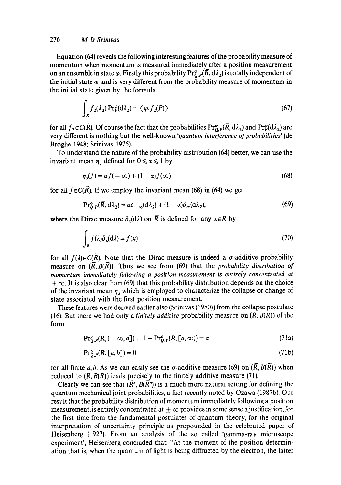Equation (64) reveals the following interesting features of the probability measure of momentum when momentum is measured immediately after a position measurement on an ensemble in state  $\varphi$ . Firstly this probability Pr<sub>0,  $P(\overline{R}, d\lambda_2)$  is totally independent of</sub> the initial state  $\varphi$  and is very different from the probability measure of momentum in the initial state given by the formula

$$
\int_{\bar{R}} f_2(\lambda_2) \Pr_{\mathcal{P}}^{\alpha}(d\lambda_2) = \langle \varphi, f_2(P) \rangle \tag{67}
$$

for all  $f_2 \in C(\overline{R})$ . Of course the fact that the probabilities  $Pr^e_{Q,P}(\overline{R}, d\lambda_2)$  and  $Pr^e_{P}(d\lambda_2)$  are very different is nothing but the well-known *'quantum interference of probabilities'* (de Broglie 1948; Srinivas 1975).

To understand the nature of the probability distribution (64) better, we can use the invariant mean  $\eta_a$  defined for  $0 \le \alpha \le 1$  by

$$
\eta_a(f) = \alpha f(-\infty) + (1-\alpha)f(\infty) \tag{68}
$$

for all  $f \in C(\overline{R})$ . If we employ the invariant mean (68) in (64) we get

$$
\Pr_{\mathcal{Q},P}^{\varphi}(\overline{R},d\lambda_2) = \alpha \delta_{-\infty}(d\lambda_2) + (1-\alpha)\delta_{\infty}(d\lambda_2),\tag{69}
$$

where the Dirac measure  $\delta_x(d\lambda)$  on  $\overline{R}$  is defined for any  $x \in \overline{R}$  by

$$
\int_{\bar{R}} f(\lambda) \delta_x(\mathrm{d}\lambda) = f(x) \tag{70}
$$

for all  $f(\lambda) \in C(\overline{R})$ . Note that the Dirac measure is indeed a  $\sigma$ -additive probability measure on  $(\overline{R}, B(\overline{R}))$ . Thus we see from (69) that the *probability distribution of momentum immediately following a position measurement is entirely concentrated at*   $\pm \infty$ . It is also clear from (69) that this probability distribution depends on the choice of the invariant mean  $\eta_a$ , which is employed to characterize the collapse or change of state associated with the first position measurement.

These features were derived earlier also (Srinivas (1980)) from the collapse postulate (16). But there we had only a *finitely additive* probability measure on  $(R, B(R))$  of the form

$$
\Pr_{Q,P}^{\rho}(R, (-\infty, a]) = 1 - \Pr_{Q,P}^{\rho}(R, [a, \infty)) = \alpha \tag{71a}
$$

$$
\Pr_{Q,P}^{\rho}(R,[a,b]) = 0\tag{71b}
$$

for all finite a, b. As we can easily see the  $\sigma$ -additive measure (69) on  $(\overline{R}, B(\overline{R}))$  when reduced to *(R, B(R))* leads precisely to the finitely additive measure (71).

Clearly we can see that  $(\overline{R}^n, B(\overline{R}^n))$  is a much more natural setting for defining the quantum mechanical joint probabilities, a fact recently noted by Ozawa (1987b). Our result that the probability distribution of momentum immediately following a position measurement, is entirely concentrated at  $\pm \infty$  provides in some sense a justification, for the first time from the fundamental postulates of quantum theory, for the original interpretation of uncertainty principle as propounded in the celebrated paper of Heisenberg (1927). From an analysis of the so called 'gamma-ray microscope experiment', Heisenberg concluded that: "At the moment of the position determination that is, when the quantum of light is being diffracted by the electron, the latter